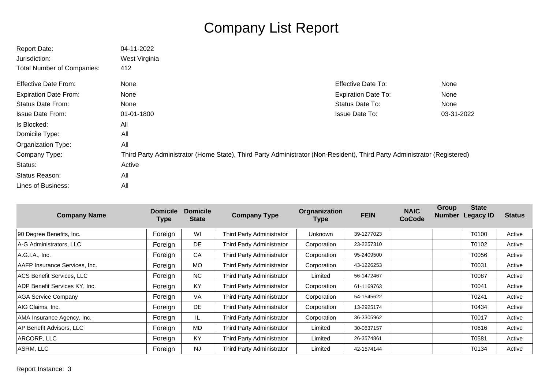## Company List Report

| <b>Report Date:</b>               | 04-11-2022                                                                                                               |                            |            |
|-----------------------------------|--------------------------------------------------------------------------------------------------------------------------|----------------------------|------------|
| Jurisdiction:                     | West Virginia                                                                                                            |                            |            |
| <b>Total Number of Companies:</b> | 412                                                                                                                      |                            |            |
| <b>Effective Date From:</b>       | <b>None</b>                                                                                                              | <b>Effective Date To:</b>  | None       |
| <b>Expiration Date From:</b>      | <b>None</b>                                                                                                              | <b>Expiration Date To:</b> | None       |
| <b>Status Date From:</b>          | <b>None</b>                                                                                                              | Status Date To:            | None       |
| <b>Issue Date From:</b>           | 01-01-1800                                                                                                               | <b>Issue Date To:</b>      | 03-31-2022 |
| Is Blocked:                       | All                                                                                                                      |                            |            |
| Domicile Type:                    | All                                                                                                                      |                            |            |
| Organization Type:                | All                                                                                                                      |                            |            |
| Company Type:                     | Third Party Administrator (Home State), Third Party Administrator (Non-Resident), Third Party Administrator (Registered) |                            |            |
| Status:                           | Active                                                                                                                   |                            |            |
| Status Reason:                    | All                                                                                                                      |                            |            |
| <b>Lines of Business:</b>         | All                                                                                                                      |                            |            |

| <b>Company Name</b>           | <b>Domicile</b><br><b>Type</b> | <b>Domicile</b><br><b>State</b> | <b>Company Type</b>       | Orgnanization<br><b>Type</b> | <b>FEIN</b> | <b>NAIC</b><br><b>CoCode</b> | <b>Group</b><br><b>Number</b> | <b>State</b><br><b>Legacy ID</b> | <b>Status</b> |
|-------------------------------|--------------------------------|---------------------------------|---------------------------|------------------------------|-------------|------------------------------|-------------------------------|----------------------------------|---------------|
| 90 Degree Benefits, Inc.      | Foreign                        | WI                              | Third Party Administrator | Unknown                      | 39-1277023  |                              |                               | T0100                            | Active        |
| A-G Administrators, LLC       | Foreign                        | DE                              | Third Party Administrator | Corporation                  | 23-2257310  |                              |                               | T0102                            | Active        |
| A.G.I.A., Inc.                | Foreign                        | CA                              | Third Party Administrator | Corporation                  | 95-2409500  |                              |                               | T0056                            | Active        |
| AAFP Insurance Services, Inc. | Foreign                        | MO                              | Third Party Administrator | Corporation                  | 43-1226253  |                              |                               | T0031                            | Active        |
| ACS Benefit Services, LLC     | Foreign                        | NC                              | Third Party Administrator | Limited                      | 56-1472467  |                              |                               | T0087                            | Active        |
| ADP Benefit Services KY, Inc. | Foreign                        | KY                              | Third Party Administrator | Corporation                  | 61-1169763  |                              |                               | T0041                            | Active        |
| <b>AGA Service Company</b>    | Foreign                        | VA                              | Third Party Administrator | Corporation                  | 54-1545622  |                              |                               | T0241                            | Active        |
| AIG Claims, Inc.              | Foreign                        | <b>DE</b>                       | Third Party Administrator | Corporation                  | 13-2925174  |                              |                               | T0434                            | Active        |
| AMA Insurance Agency, Inc.    | Foreign                        | IL.                             | Third Party Administrator | Corporation                  | 36-3305962  |                              |                               | T0017                            | Active        |
| AP Benefit Advisors, LLC      | Foreign                        | MD                              | Third Party Administrator | Limited                      | 30-0837157  |                              |                               | T0616                            | Active        |
| ARCORP, LLC                   | Foreign                        | KY                              | Third Party Administrator | Limited                      | 26-3574861  |                              |                               | T0581                            | Active        |
| ASRM, LLC                     | Foreign                        | <b>NJ</b>                       | Third Party Administrator | Limited                      | 42-1574144  |                              |                               | T0134                            | Active        |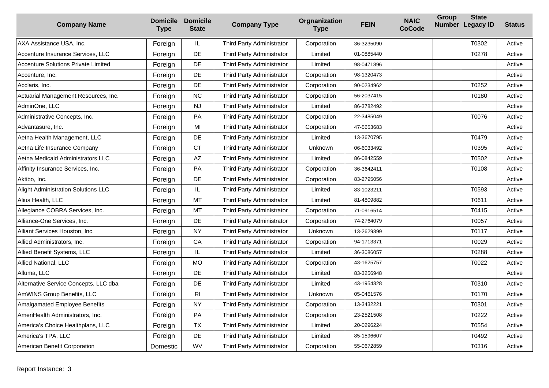| <b>Company Name</b>                        | <b>Domicile</b><br><b>Type</b> | <b>Domicile</b><br><b>State</b> | <b>Company Type</b>       | Orgnanization<br><b>Type</b> | <b>FEIN</b> | <b>NAIC</b><br><b>CoCode</b> | <b>Group</b> | <b>State</b><br>Number Legacy ID | <b>Status</b> |
|--------------------------------------------|--------------------------------|---------------------------------|---------------------------|------------------------------|-------------|------------------------------|--------------|----------------------------------|---------------|
| AXA Assistance USA, Inc.                   | Foreign                        | IL                              | Third Party Administrator | Corporation                  | 36-3235090  |                              |              | T0302                            | Active        |
| Accenture Insurance Services, LLC          | Foreign                        | DE                              | Third Party Administrator | Limited                      | 01-0885440  |                              |              | T0278                            | Active        |
| <b>Accenture Solutions Private Limited</b> | Foreign                        | DE                              | Third Party Administrator | Limited                      | 98-0471896  |                              |              |                                  | Active        |
| Accenture, Inc.                            | Foreign                        | DE                              | Third Party Administrator | Corporation                  | 98-1320473  |                              |              |                                  | Active        |
| Acclaris, Inc.                             | Foreign                        | DE                              | Third Party Administrator | Corporation                  | 90-0234962  |                              |              | T0252                            | Active        |
| Actuarial Management Resources, Inc.       | Foreign                        | <b>NC</b>                       | Third Party Administrator | Corporation                  | 56-2037415  |                              |              | T0180                            | Active        |
| AdminOne, LLC                              | Foreign                        | <b>NJ</b>                       | Third Party Administrator | Limited                      | 86-3782492  |                              |              |                                  | Active        |
| Administrative Concepts, Inc.              | Foreign                        | PA                              | Third Party Administrator | Corporation                  | 22-3485049  |                              |              | T0076                            | Active        |
| Advantasure, Inc.                          | Foreign                        | MI                              | Third Party Administrator | Corporation                  | 47-5653683  |                              |              |                                  | Active        |
| Aetna Health Management, LLC               | Foreign                        | DE                              | Third Party Administrator | Limited                      | 13-3670795  |                              |              | T0479                            | Active        |
| Aetna Life Insurance Company               | Foreign                        | <b>CT</b>                       | Third Party Administrator | Unknown                      | 06-6033492  |                              |              | T0395                            | Active        |
| Aetna Medicaid Administrators LLC          | Foreign                        | AZ                              | Third Party Administrator | Limited                      | 86-0842559  |                              |              | T0502                            | Active        |
| Affinity Insurance Services, Inc.          | Foreign                        | PA                              | Third Party Administrator | Corporation                  | 36-3642411  |                              |              | T0108                            | Active        |
| Aktibo, Inc.                               | Foreign                        | DE                              | Third Party Administrator | Corporation                  | 83-2795056  |                              |              |                                  | Active        |
| Alight Administration Solutions LLC        | Foreign                        | IL                              | Third Party Administrator | Limited                      | 83-1023211  |                              |              | T0593                            | Active        |
| Alius Health, LLC                          | Foreign                        | <b>MT</b>                       | Third Party Administrator | Limited                      | 81-4809882  |                              |              | T0611                            | Active        |
| Allegiance COBRA Services, Inc.            | Foreign                        | <b>MT</b>                       | Third Party Administrator | Corporation                  | 71-0916514  |                              |              | T0415                            | Active        |
| Alliance-One Services, Inc.                | Foreign                        | DE                              | Third Party Administrator | Corporation                  | 74-2764079  |                              |              | T0057                            | Active        |
| Alliant Services Houston, Inc.             | Foreign                        | <b>NY</b>                       | Third Party Administrator | Unknown                      | 13-2629399  |                              |              | T0117                            | Active        |
| Allied Administrators, Inc.                | Foreign                        | CA                              | Third Party Administrator | Corporation                  | 94-1713371  |                              |              | T0029                            | Active        |
| Allied Benefit Systems, LLC                | Foreign                        | IL.                             | Third Party Administrator | Limited                      | 36-3086057  |                              |              | T0288                            | Active        |
| Allied National, LLC                       | Foreign                        | <b>MO</b>                       | Third Party Administrator | Corporation                  | 43-1625757  |                              |              | T0022                            | Active        |
| Alluma, LLC                                | Foreign                        | DE                              | Third Party Administrator | Limited                      | 83-3256948  |                              |              |                                  | Active        |
| Alternative Service Concepts, LLC dba      | Foreign                        | DE                              | Third Party Administrator | Limited                      | 43-1954328  |                              |              | T0310                            | Active        |
| AmWINS Group Benefits, LLC                 | Foreign                        | R <sub>l</sub>                  | Third Party Administrator | Unknown                      | 05-0461576  |                              |              | T0170                            | Active        |
| <b>Amalgamated Employee Benefits</b>       | Foreign                        | <b>NY</b>                       | Third Party Administrator | Corporation                  | 13-3432221  |                              |              | T0301                            | Active        |
| AmeriHealth Administrators, Inc.           | Foreign                        | PA                              | Third Party Administrator | Corporation                  | 23-2521508  |                              |              | T0222                            | Active        |
| America's Choice Healthplans, LLC          | Foreign                        | <b>TX</b>                       | Third Party Administrator | Limited                      | 20-0296224  |                              |              | T0554                            | Active        |
| America's TPA, LLC                         | Foreign                        | DE                              | Third Party Administrator | Limited                      | 85-1596607  |                              |              | T0492                            | Active        |
| American Benefit Corporation               | Domestic                       | WV                              | Third Party Administrator | Corporation                  | 55-0672859  |                              |              | T0316                            | Active        |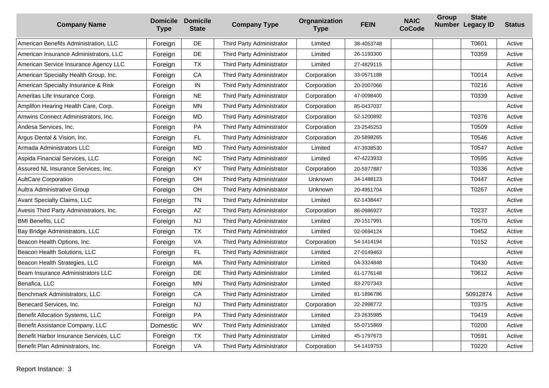| <b>Company Name</b>                     | <b>Domicile</b><br><b>Type</b> | <b>Domicile</b><br><b>State</b> | <b>Company Type</b>       | Orgnanization<br><b>Type</b> | <b>FEIN</b> | <b>NAIC</b><br><b>CoCode</b> | Group | <b>State</b><br>Number Legacy ID | <b>Status</b> |
|-----------------------------------------|--------------------------------|---------------------------------|---------------------------|------------------------------|-------------|------------------------------|-------|----------------------------------|---------------|
| American Benefits Administration, LLC   | Foreign                        | <b>DE</b>                       | Third Party Administrator | Limited                      | 38-4053748  |                              |       | T0601                            | Active        |
| American Insurance Administrators, LLC  | Foreign                        | DE                              | Third Party Administrator | Limited                      | 26-1193300  |                              |       | T0359                            | Active        |
| American Service Insurance Agency LLC   | Foreign                        | <b>TX</b>                       | Third Party Administrator | Limited                      | 27-4829115  |                              |       |                                  | Active        |
| American Specialty Health Group, Inc.   | Foreign                        | CA                              | Third Party Administrator | Corporation                  | 33-0571188  |                              |       | T0014                            | Active        |
| American Specialty Insurance & Risk     | Foreign                        | IN                              | Third Party Administrator | Corporation                  | 20-2007066  |                              |       | T0216                            | Active        |
| Ameritas Life Insurance Corp.           | Foreign                        | <b>NE</b>                       | Third Party Administrator | Corporation                  | 47-0098400  |                              |       | T0339                            | Active        |
| Amplifon Hearing Health Care, Corp.     | Foreign                        | <b>MN</b>                       | Third Party Administrator | Corporation                  | 85-0437037  |                              |       |                                  | Active        |
| Amwins Connect Administrators, Inc.     | Foreign                        | <b>MD</b>                       | Third Party Administrator | Corporation                  | 52-1200892  |                              |       | T0376                            | Active        |
| Andesa Services. Inc.                   | Foreign                        | <b>PA</b>                       | Third Party Administrator | Corporation                  | 23-2545253  |                              |       | T0509                            | Active        |
| Argus Dental & Vision, Inc.             | Foreign                        | FL                              | Third Party Administrator | Corporation                  | 20-5898265  |                              |       | T0546                            | Active        |
| Armada Administrators LLC               | Foreign                        | <b>MD</b>                       | Third Party Administrator | Limited                      | 47-3938530  |                              |       | T0547                            | Active        |
| Aspida Financial Services, LLC          | Foreign                        | <b>NC</b>                       | Third Party Administrator | Limited                      | 47-4223933  |                              |       | T0595                            | Active        |
| Assured NL Insurance Services. Inc.     | Foreign                        | <b>KY</b>                       | Third Party Administrator | Corporation                  | 20-5977887  |                              |       | T0336                            | Active        |
| <b>AultCare Corporation</b>             | Foreign                        | OH                              | Third Party Administrator | <b>Unknown</b>               | 34-1488123  |                              |       | T0447                            | Active        |
| Aultra Administrative Group             | Foreign                        | OH                              | Third Party Administrator | Unknown                      | 20-4951704  |                              |       | T0267                            | Active        |
| Avant Specialty Claims, LLC             | Foreign                        | <b>TN</b>                       | Third Party Administrator | Limited                      | 62-1438447  |                              |       |                                  | Active        |
| Avesis Third Party Administrators, Inc. | Foreign                        | AZ                              | Third Party Administrator | Corporation                  | 86-0986927  |                              |       | T0237                            | Active        |
| <b>BMI Benefits, LLC</b>                | Foreign                        | <b>NJ</b>                       | Third Party Administrator | Limited                      | 20-1517991  |                              |       | T0570                            | Active        |
| Bay Bridge Administrators, LLC          | Foreign                        | <b>TX</b>                       | Third Party Administrator | Limited                      | 02-0694124  |                              |       | T0452                            | Active        |
| Beacon Health Options, Inc.             | Foreign                        | VA                              | Third Party Administrator | Corporation                  | 54-1414194  |                              |       | T0152                            | Active        |
| Beacon Health Solutions, LLC            | Foreign                        | FL                              | Third Party Administrator | Limited                      | 27-0149463  |                              |       |                                  | Active        |
| Beacon Health Strategies, LLC           | Foreign                        | MA                              | Third Party Administrator | Limited                      | 04-3324848  |                              |       | T0430                            | Active        |
| Beam Insurance Administrators LLC       | Foreign                        | DE                              | Third Party Administrator | Limited                      | 61-1776148  |                              |       | T0612                            | Active        |
| Benafica, LLC                           | Foreign                        | <b>MN</b>                       | Third Party Administrator | Limited                      | 83-2707343  |                              |       |                                  | Active        |
| Benchmark Administrators, LLC           | Foreign                        | CA                              | Third Party Administrator | Limited                      | 81-1896786  |                              |       | 50912874                         | Active        |
| Benecard Services, Inc.                 | Foreign                        | <b>NJ</b>                       | Third Party Administrator | Corporation                  | 22-2998772  |                              |       | T0375                            | Active        |
| Benefit Allocation Systems, LLC         | Foreign                        | PA                              | Third Party Administrator | Limited                      | 23-2635985  |                              |       | T0419                            | Active        |
| Benefit Assistance Company, LLC         | Domestic                       | <b>WV</b>                       | Third Party Administrator | Limited                      | 55-0715869  |                              |       | T0200                            | Active        |
| Benefit Harbor Insurance Services, LLC  | Foreign                        | <b>TX</b>                       | Third Party Administrator | Limited                      | 45-1797673  |                              |       | T0591                            | Active        |
| Benefit Plan Administrators, Inc.       | Foreign                        | VA                              | Third Party Administrator | Corporation                  | 54-1419753  |                              |       | T0220                            | Active        |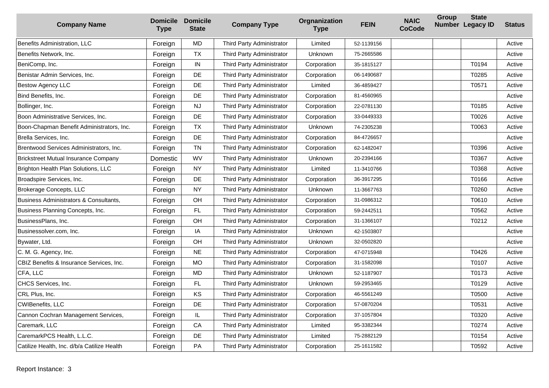| <b>Company Name</b>                         | <b>Domicile</b><br><b>Type</b> | <b>Domicile</b><br><b>State</b> | <b>Company Type</b>       | Orgnanization<br><b>Type</b> | <b>FEIN</b> | <b>NAIC</b><br><b>CoCode</b> | <b>Group</b> | <b>State</b><br>Number Legacy ID | <b>Status</b> |
|---------------------------------------------|--------------------------------|---------------------------------|---------------------------|------------------------------|-------------|------------------------------|--------------|----------------------------------|---------------|
| Benefits Administration, LLC                | Foreign                        | <b>MD</b>                       | Third Party Administrator | Limited                      | 52-1139156  |                              |              |                                  | Active        |
| Benefits Network, Inc.                      | Foreign                        | <b>TX</b>                       | Third Party Administrator | Unknown                      | 75-2665586  |                              |              |                                  | Active        |
| BeniComp, Inc.                              | Foreign                        | IN                              | Third Party Administrator | Corporation                  | 35-1815127  |                              |              | T0194                            | Active        |
| Benistar Admin Services, Inc.               | Foreign                        | DE                              | Third Party Administrator | Corporation                  | 06-1490687  |                              |              | T0285                            | Active        |
| <b>Bestow Agency LLC</b>                    | Foreign                        | DE                              | Third Party Administrator | Limited                      | 36-4859427  |                              |              | T0571                            | Active        |
| Bind Benefits, Inc.                         | Foreign                        | DE                              | Third Party Administrator | Corporation                  | 81-4560965  |                              |              |                                  | Active        |
| Bollinger, Inc.                             | Foreign                        | NJ                              | Third Party Administrator | Corporation                  | 22-0781130  |                              |              | T0185                            | Active        |
| Boon Administrative Services, Inc.          | Foreign                        | DE                              | Third Party Administrator | Corporation                  | 33-0449333  |                              |              | T0026                            | Active        |
| Boon-Chapman Benefit Administrators, Inc.   | Foreign                        | <b>TX</b>                       | Third Party Administrator | Unknown                      | 74-2305238  |                              |              | T0063                            | Active        |
| Brella Services, Inc.                       | Foreign                        | DE                              | Third Party Administrator | Corporation                  | 84-4726657  |                              |              |                                  | Active        |
| Brentwood Services Administrators, Inc.     | Foreign                        | <b>TN</b>                       | Third Party Administrator | Corporation                  | 62-1482047  |                              |              | T0396                            | Active        |
| <b>Brickstreet Mutual Insurance Company</b> | Domestic                       | WV                              | Third Party Administrator | Unknown                      | 20-2394166  |                              |              | T0367                            | Active        |
| Brighton Health Plan Solutions, LLC         | Foreign                        | <b>NY</b>                       | Third Party Administrator | Limited                      | 11-3410766  |                              |              | T0368                            | Active        |
| Broadspire Services, Inc.                   | Foreign                        | DE                              | Third Party Administrator | Corporation                  | 36-3917295  |                              |              | T0166                            | Active        |
| Brokerage Concepts, LLC                     | Foreign                        | <b>NY</b>                       | Third Party Administrator | Unknown                      | 11-3667763  |                              |              | T0260                            | Active        |
| Business Administrators & Consultants,      | Foreign                        | OH                              | Third Party Administrator | Corporation                  | 31-0986312  |                              |              | T0610                            | Active        |
| Business Planning Concepts, Inc.            | Foreign                        | FL                              | Third Party Administrator | Corporation                  | 59-2442511  |                              |              | T0562                            | Active        |
| BusinessPlans, Inc.                         | Foreign                        | OH                              | Third Party Administrator | Corporation                  | 31-1366107  |                              |              | T0212                            | Active        |
| Businessolver.com, Inc.                     | Foreign                        | IA                              | Third Party Administrator | Unknown                      | 42-1503807  |                              |              |                                  | Active        |
| Bywater, Ltd.                               | Foreign                        | OH                              | Third Party Administrator | Unknown                      | 32-0502820  |                              |              |                                  | Active        |
| C. M. G. Agency, Inc.                       | Foreign                        | <b>NE</b>                       | Third Party Administrator | Corporation                  | 47-0715948  |                              |              | T0426                            | Active        |
| CBIZ Benefits & Insurance Services, Inc.    | Foreign                        | <b>MO</b>                       | Third Party Administrator | Corporation                  | 31-1582098  |                              |              | T0107                            | Active        |
| CFA, LLC                                    | Foreign                        | MD.                             | Third Party Administrator | Unknown                      | 52-1187907  |                              |              | T0173                            | Active        |
| CHCS Services, Inc.                         | Foreign                        | FL                              | Third Party Administrator | Unknown                      | 59-2953465  |                              |              | T0129                            | Active        |
| CRL Plus, Inc.                              | Foreign                        | KS                              | Third Party Administrator | Corporation                  | 46-5561249  |                              |              | T0500                            | Active        |
| CWIBenefits, LLC                            | Foreign                        | DE                              | Third Party Administrator | Corporation                  | 57-0870204  |                              |              | T0531                            | Active        |
| Cannon Cochran Management Services,         | Foreign                        | IL                              | Third Party Administrator | Corporation                  | 37-1057804  |                              |              | T0320                            | Active        |
| Caremark, LLC                               | Foreign                        | CA                              | Third Party Administrator | Limited                      | 95-3382344  |                              |              | T0274                            | Active        |
| CaremarkPCS Health, L.L.C.                  | Foreign                        | DE                              | Third Party Administrator | Limited                      | 75-2882129  |                              |              | T0154                            | Active        |
| Catilize Health, Inc. d/b/a Catilize Health | Foreign                        | PA                              | Third Party Administrator | Corporation                  | 25-1611582  |                              |              | T0592                            | Active        |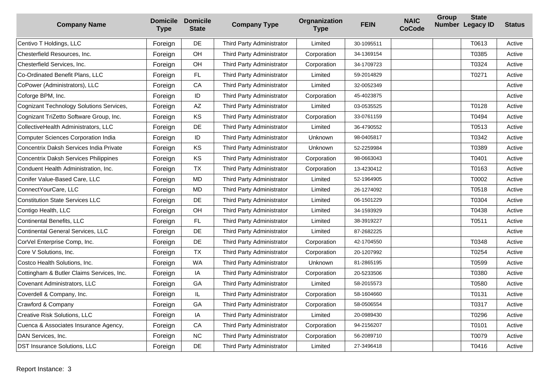| <b>Company Name</b>                          | <b>Domicile</b><br><b>Type</b> | <b>Domicile</b><br><b>State</b> | <b>Company Type</b>       | Orgnanization<br><b>Type</b> | <b>FEIN</b> | <b>NAIC</b><br><b>CoCode</b> | <b>Group</b> | <b>State</b><br>Number Legacy ID | <b>Status</b> |
|----------------------------------------------|--------------------------------|---------------------------------|---------------------------|------------------------------|-------------|------------------------------|--------------|----------------------------------|---------------|
| Centivo T Holdings, LLC                      | Foreign                        | DE                              | Third Party Administrator | Limited                      | 30-1095511  |                              |              | T0613                            | Active        |
| Chesterfield Resources, Inc.                 | Foreign                        | OH                              | Third Party Administrator | Corporation                  | 34-1369154  |                              |              | T0385                            | Active        |
| Chesterfield Services, Inc.                  | Foreign                        | OH                              | Third Party Administrator | Corporation                  | 34-1709723  |                              |              | T0324                            | Active        |
| Co-Ordinated Benefit Plans, LLC              | Foreign                        | <b>FL</b>                       | Third Party Administrator | Limited                      | 59-2014829  |                              |              | T0271                            | Active        |
| CoPower (Administrators), LLC                | Foreign                        | CA                              | Third Party Administrator | Limited                      | 32-0052349  |                              |              |                                  | Active        |
| Coforge BPM, Inc.                            | Foreign                        | ID                              | Third Party Administrator | Corporation                  | 45-4023875  |                              |              |                                  | Active        |
| Cognizant Technology Solutions Services,     | Foreign                        | AZ                              | Third Party Administrator | Limited                      | 03-0535525  |                              |              | T0128                            | Active        |
| Cognizant TriZetto Software Group, Inc.      | Foreign                        | KS                              | Third Party Administrator | Corporation                  | 33-0761159  |                              |              | T0494                            | Active        |
| CollectiveHealth Administrators, LLC         | Foreign                        | DE                              | Third Party Administrator | Limited                      | 36-4790552  |                              |              | T0513                            | Active        |
| <b>Computer Sciences Corporation India</b>   | Foreign                        | ID                              | Third Party Administrator | Unknown                      | 98-0405817  |                              |              | T0342                            | Active        |
| Concentrix Daksh Services India Private      | Foreign                        | KS                              | Third Party Administrator | Unknown                      | 52-2259984  |                              |              | T0389                            | Active        |
| <b>Concentrix Daksh Services Philippines</b> | Foreign                        | KS                              | Third Party Administrator | Corporation                  | 98-0663043  |                              |              | T0401                            | Active        |
| Conduent Health Administration, Inc.         | Foreign                        | <b>TX</b>                       | Third Party Administrator | Corporation                  | 13-4230412  |                              |              | T0163                            | Active        |
| Conifer Value-Based Care, LLC                | Foreign                        | <b>MD</b>                       | Third Party Administrator | Limited                      | 52-1964905  |                              |              | T0002                            | Active        |
| ConnectYourCare, LLC                         | Foreign                        | <b>MD</b>                       | Third Party Administrator | Limited                      | 26-1274092  |                              |              | T0518                            | Active        |
| <b>Constitution State Services LLC</b>       | Foreign                        | DE                              | Third Party Administrator | Limited                      | 06-1501229  |                              |              | T0304                            | Active        |
| Contigo Health, LLC                          | Foreign                        | OH                              | Third Party Administrator | Limited                      | 34-1593929  |                              |              | T0438                            | Active        |
| <b>Continental Benefits, LLC</b>             | Foreign                        | FL                              | Third Party Administrator | Limited                      | 38-3919227  |                              |              | T0511                            | Active        |
| <b>Continental General Services, LLC</b>     | Foreign                        | DE                              | Third Party Administrator | Limited                      | 87-2682225  |                              |              |                                  | Active        |
| CorVel Enterprise Comp, Inc.                 | Foreign                        | DE                              | Third Party Administrator | Corporation                  | 42-1704550  |                              |              | T0348                            | Active        |
| Core V Solutions, Inc.                       | Foreign                        | <b>TX</b>                       | Third Party Administrator | Corporation                  | 20-1207992  |                              |              | T0254                            | Active        |
| Costco Health Solutions, Inc.                | Foreign                        | <b>WA</b>                       | Third Party Administrator | <b>Unknown</b>               | 81-2865195  |                              |              | T0599                            | Active        |
| Cottingham & Butler Claims Services, Inc.    | Foreign                        | IA                              | Third Party Administrator | Corporation                  | 20-5233506  |                              |              | T0380                            | Active        |
| Covenant Administrators, LLC                 | Foreign                        | GA                              | Third Party Administrator | Limited                      | 58-2015573  |                              |              | T0580                            | Active        |
| Coverdell & Company, Inc.                    | Foreign                        | IL                              | Third Party Administrator | Corporation                  | 58-1604660  |                              |              | T0131                            | Active        |
| Crawford & Company                           | Foreign                        | GA                              | Third Party Administrator | Corporation                  | 58-0506554  |                              |              | T0317                            | Active        |
| Creative Risk Solutions, LLC                 | Foreign                        | IA                              | Third Party Administrator | Limited                      | 20-0989430  |                              |              | T0296                            | Active        |
| Cuenca & Associates Insurance Agency,        | Foreign                        | CA                              | Third Party Administrator | Corporation                  | 94-2156207  |                              |              | T0101                            | Active        |
| DAN Services, Inc.                           | Foreign                        | <b>NC</b>                       | Third Party Administrator | Corporation                  | 56-2089710  |                              |              | T0079                            | Active        |
| DST Insurance Solutions, LLC                 | Foreign                        | DE                              | Third Party Administrator | Limited                      | 27-3496418  |                              |              | T0416                            | Active        |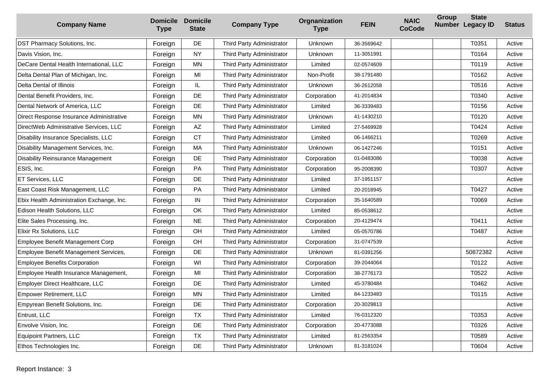| <b>Company Name</b>                       | <b>Type</b> | <b>Domicile Domicile</b><br><b>State</b> | <b>Company Type</b>       | Orgnanization<br><b>Type</b> | <b>FEIN</b> | <b>NAIC</b><br><b>CoCode</b> | <b>Group</b> | <b>State</b><br>Number Legacy ID | <b>Status</b> |
|-------------------------------------------|-------------|------------------------------------------|---------------------------|------------------------------|-------------|------------------------------|--------------|----------------------------------|---------------|
| DST Pharmacy Solutions, Inc.              | Foreign     | DE                                       | Third Party Administrator | Unknown                      | 36-3569642  |                              |              | T0351                            | Active        |
| Davis Vision, Inc.                        | Foreign     | <b>NY</b>                                | Third Party Administrator | <b>Unknown</b>               | 11-3051991  |                              |              | T0164                            | Active        |
| DeCare Dental Health International, LLC   | Foreign     | <b>MN</b>                                | Third Party Administrator | Limited                      | 02-0574609  |                              |              | T0119                            | Active        |
| Delta Dental Plan of Michigan, Inc.       | Foreign     | MI                                       | Third Party Administrator | Non-Profit                   | 38-1791480  |                              |              | T0162                            | Active        |
| Delta Dental of Illinois                  | Foreign     | IL.                                      | Third Party Administrator | <b>Unknown</b>               | 36-2612058  |                              |              | T0516                            | Active        |
| Dental Benefit Providers, Inc.            | Foreign     | DE                                       | Third Party Administrator | Corporation                  | 41-2014834  |                              |              | T0340                            | Active        |
| Dental Network of America, LLC            | Foreign     | DE                                       | Third Party Administrator | Limited                      | 36-3339483  |                              |              | T0156                            | Active        |
| Direct Response Insurance Administrative  | Foreign     | <b>MN</b>                                | Third Party Administrator | Unknown                      | 41-1430210  |                              |              | T0120                            | Active        |
| DirectWeb Administrative Services, LLC    | Foreign     | AZ                                       | Third Party Administrator | Limited                      | 27-5469928  |                              |              | T0424                            | Active        |
| Disability Insurance Specialists, LLC     | Foreign     | <b>CT</b>                                | Third Party Administrator | Limited                      | 06-1466211  |                              |              | T0269                            | Active        |
| Disability Management Services, Inc.      | Foreign     | MA                                       | Third Party Administrator | Unknown                      | 06-1427246  |                              |              | T0151                            | Active        |
| <b>Disability Reinsurance Management</b>  | Foreign     | DE                                       | Third Party Administrator | Corporation                  | 01-0483086  |                              |              | T0038                            | Active        |
| ESIS, Inc.                                | Foreign     | PA                                       | Third Party Administrator | Corporation                  | 95-2008390  |                              |              | T0307                            | Active        |
| ET Services, LLC                          | Foreign     | DE                                       | Third Party Administrator | Limited                      | 37-1951157  |                              |              |                                  | Active        |
| East Coast Risk Management, LLC           | Foreign     | PA                                       | Third Party Administrator | Limited                      | 20-2018945  |                              |              | T0427                            | Active        |
| Ebix Health Administration Exchange, Inc. | Foreign     | ${\sf IN}$                               | Third Party Administrator | Corporation                  | 35-1640589  |                              |              | T0069                            | Active        |
| Edison Health Solutions, LLC              | Foreign     | OK                                       | Third Party Administrator | Limited                      | 85-0538612  |                              |              |                                  | Active        |
| Elite Sales Processing, Inc.              | Foreign     | <b>NE</b>                                | Third Party Administrator | Corporation                  | 20-4129474  |                              |              | T0411                            | Active        |
| Elixir Rx Solutions, LLC                  | Foreign     | OH                                       | Third Party Administrator | Limited                      | 05-0570786  |                              |              | T0487                            | Active        |
| Employee Benefit Management Corp          | Foreign     | OH                                       | Third Party Administrator | Corporation                  | 31-0747539  |                              |              |                                  | Active        |
| Employee Benefit Management Services,     | Foreign     | DE                                       | Third Party Administrator | Unknown                      | 81-0391256  |                              |              | 50872382                         | Active        |
| <b>Employee Benefits Corporation</b>      | Foreign     | WI                                       | Third Party Administrator | Corporation                  | 39-2044064  |                              |              | T0122                            | Active        |
| Employee Health Insurance Management,     | Foreign     | MI                                       | Third Party Administrator | Corporation                  | 38-2776173  |                              |              | T0522                            | Active        |
| Employer Direct Healthcare, LLC           | Foreign     | DE                                       | Third Party Administrator | Limited                      | 45-3780484  |                              |              | T0462                            | Active        |
| <b>Empower Retirement, LLC</b>            | Foreign     | <b>MN</b>                                | Third Party Administrator | Limited                      | 84-1233483  |                              |              | T0115                            | Active        |
| Empyrean Benefit Solutions, Inc.          | Foreign     | DE                                       | Third Party Administrator | Corporation                  | 20-3029813  |                              |              |                                  | Active        |
| Entrust, LLC                              | Foreign     | <b>TX</b>                                | Third Party Administrator | Limited                      | 76-0312320  |                              |              | T0353                            | Active        |
| Envolve Vision, Inc.                      | Foreign     | DE                                       | Third Party Administrator | Corporation                  | 20-4773088  |                              |              | T0326                            | Active        |
| <b>Equipoint Partners, LLC</b>            | Foreign     | <b>TX</b>                                | Third Party Administrator | Limited                      | 81-2563354  |                              |              | T0589                            | Active        |
| Ethos Technologies Inc.                   | Foreign     | DE                                       | Third Party Administrator | Unknown                      | 81-3181024  |                              |              | T0604                            | Active        |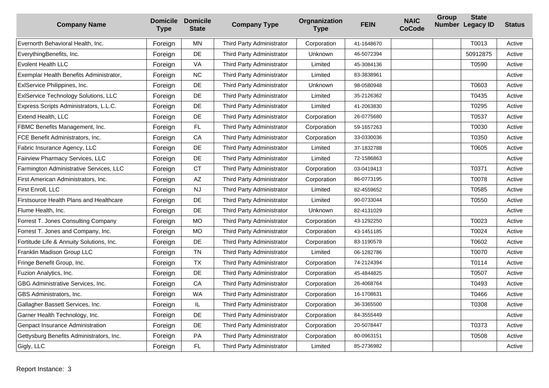| <b>Company Name</b>                            | <b>Domicile</b><br><b>Type</b> | <b>Domicile</b><br><b>State</b> | <b>Company Type</b>       | Orgnanization<br><b>Type</b> | <b>FEIN</b> | <b>NAIC</b><br><b>CoCode</b> | Group | <b>State</b><br>Number Legacy ID | <b>Status</b> |
|------------------------------------------------|--------------------------------|---------------------------------|---------------------------|------------------------------|-------------|------------------------------|-------|----------------------------------|---------------|
| Evernorth Behavioral Health, Inc.              | Foreign                        | MN                              | Third Party Administrator | Corporation                  | 41-1648670  |                              |       | T0013                            | Active        |
| EverythingBenefits, Inc.                       | Foreign                        | DE                              | Third Party Administrator | <b>Unknown</b>               | 46-5072394  |                              |       | 50912875                         | Active        |
| <b>Evolent Health LLC</b>                      | Foreign                        | VA                              | Third Party Administrator | Limited                      | 45-3084136  |                              |       | T0590                            | Active        |
| Exemplar Health Benefits Administrator,        | Foreign                        | <b>NC</b>                       | Third Party Administrator | Limited                      | 83-3838961  |                              |       |                                  | Active        |
| ExIService Philippines, Inc.                   | Foreign                        | DE                              | Third Party Administrator | Unknown                      | 98-0580948  |                              |       | T0603                            | Active        |
| ExIService Technology Solutions, LLC           | Foreign                        | <b>DE</b>                       | Third Party Administrator | Limited                      | 35-2126362  |                              |       | T0435                            | Active        |
| Express Scripts Administrators, L.L.C.         | Foreign                        | DE                              | Third Party Administrator | Limited                      | 41-2063830  |                              |       | T0295                            | Active        |
| Extend Health, LLC                             | Foreign                        | DE                              | Third Party Administrator | Corporation                  | 26-0775680  |                              |       | T0537                            | Active        |
| FBMC Benefits Management, Inc.                 | Foreign                        | FL                              | Third Party Administrator | Corporation                  | 59-1657263  |                              |       | T0030                            | Active        |
| FCE Benefit Administrators, Inc.               | Foreign                        | CA                              | Third Party Administrator | Corporation                  | 33-0330036  |                              |       | T0350                            | Active        |
| Fabric Insurance Agency, LLC                   | Foreign                        | DE                              | Third Party Administrator | Limited                      | 37-1832788  |                              |       | T0605                            | Active        |
| Fairview Pharmacy Services, LLC                | Foreign                        | DE                              | Third Party Administrator | Limited                      | 72-1586863  |                              |       |                                  | Active        |
| Farmington Administrative Services, LLC        | Foreign                        | <b>CT</b>                       | Third Party Administrator | Corporation                  | 03-0419413  |                              |       | T0371                            | Active        |
| First American Administrators, Inc.            | Foreign                        | AZ                              | Third Party Administrator | Corporation                  | 86-0773195  |                              |       | T0078                            | Active        |
| First Enroll, LLC                              | Foreign                        | <b>NJ</b>                       | Third Party Administrator | Limited                      | 82-4559652  |                              |       | T0585                            | Active        |
| <b>Firstsource Health Plans and Healthcare</b> | Foreign                        | DE                              | Third Party Administrator | Limited                      | 90-0733044  |                              |       | T0550                            | Active        |
| Flume Health, Inc.                             | Foreign                        | DE                              | Third Party Administrator | Unknown                      | 82-4131029  |                              |       |                                  | Active        |
| Forrest T. Jones Consulting Company            | Foreign                        | MO                              | Third Party Administrator | Corporation                  | 43-1292250  |                              |       | T0023                            | Active        |
| Forrest T. Jones and Company, Inc.             | Foreign                        | <b>MO</b>                       | Third Party Administrator | Corporation                  | 43-1451185  |                              |       | T0024                            | Active        |
| Fortitude Life & Annuity Solutions, Inc.       | Foreign                        | <b>DE</b>                       | Third Party Administrator | Corporation                  | 83-1190578  |                              |       | T0602                            | Active        |
| Franklin Madison Group LLC                     | Foreign                        | <b>TN</b>                       | Third Party Administrator | Limited                      | 06-1282786  |                              |       | T0070                            | Active        |
| Fringe Benefit Group, Inc.                     | Foreign                        | <b>TX</b>                       | Third Party Administrator | Corporation                  | 74-2124394  |                              |       | T0114                            | Active        |
| Fuzion Analytics, Inc.                         | Foreign                        | DE                              | Third Party Administrator | Corporation                  | 45-4844825  |                              |       | T0507                            | Active        |
| GBG Administrative Services, Inc.              | Foreign                        | CA                              | Third Party Administrator | Corporation                  | 26-4068764  |                              |       | T0493                            | Active        |
| GBS Administrators, Inc.                       | Foreign                        | <b>WA</b>                       | Third Party Administrator | Corporation                  | 16-1708631  |                              |       | T0466                            | Active        |
| Gallagher Bassett Services, Inc.               | Foreign                        | IL.                             | Third Party Administrator | Corporation                  | 36-3365500  |                              |       | T0308                            | Active        |
| Garner Health Technology, Inc.                 | Foreign                        | DE                              | Third Party Administrator | Corporation                  | 84-3555449  |                              |       |                                  | Active        |
| Genpact Insurance Administration               | Foreign                        | DE                              | Third Party Administrator | Corporation                  | 20-5078447  |                              |       | T0373                            | Active        |
| Gettysburg Benefits Administrators, Inc.       | Foreign                        | PA                              | Third Party Administrator | Corporation                  | 80-0963151  |                              |       | T0508                            | Active        |
| Gigly, LLC                                     | Foreign                        | FL                              | Third Party Administrator | Limited                      | 85-2736982  |                              |       |                                  | Active        |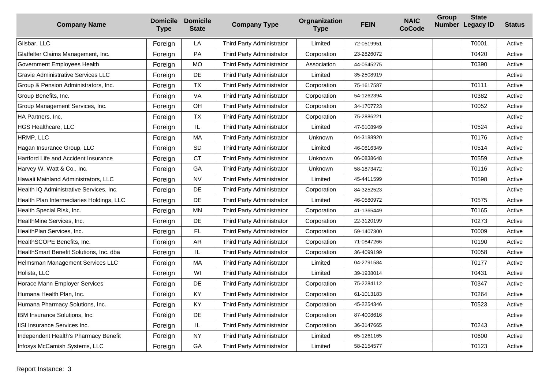| <b>Company Name</b>                      | <b>Type</b> | <b>Domicile Domicile</b><br><b>State</b> | <b>Company Type</b>       | Orgnanization<br><b>Type</b> | <b>FEIN</b> | <b>NAIC</b><br><b>CoCode</b> | Group | <b>State</b><br>Number Legacy ID | <b>Status</b> |
|------------------------------------------|-------------|------------------------------------------|---------------------------|------------------------------|-------------|------------------------------|-------|----------------------------------|---------------|
| Gilsbar, LLC                             | Foreign     | LA                                       | Third Party Administrator | Limited                      | 72-0519951  |                              |       | T0001                            | Active        |
| Glatfelter Claims Management, Inc.       | Foreign     | PA                                       | Third Party Administrator | Corporation                  | 23-2826072  |                              |       | T0420                            | Active        |
| Government Employees Health              | Foreign     | <b>MO</b>                                | Third Party Administrator | Association                  | 44-0545275  |                              |       | T0390                            | Active        |
| Gravie Administrative Services LLC       | Foreign     | DE                                       | Third Party Administrator | Limited                      | 35-2508919  |                              |       |                                  | Active        |
| Group & Pension Administrators, Inc.     | Foreign     | <b>TX</b>                                | Third Party Administrator | Corporation                  | 75-1617587  |                              |       | T0111                            | Active        |
| Group Benefits, Inc.                     | Foreign     | VA                                       | Third Party Administrator | Corporation                  | 54-1262394  |                              |       | T0382                            | Active        |
| Group Management Services, Inc.          | Foreign     | OH                                       | Third Party Administrator | Corporation                  | 34-1707723  |                              |       | T0052                            | Active        |
| HA Partners, Inc.                        | Foreign     | <b>TX</b>                                | Third Party Administrator | Corporation                  | 75-2886221  |                              |       |                                  | Active        |
| <b>HGS Healthcare, LLC</b>               | Foreign     | IL                                       | Third Party Administrator | Limited                      | 47-5108949  |                              |       | T0524                            | Active        |
| HRMP, LLC                                | Foreign     | MA                                       | Third Party Administrator | Unknown                      | 04-3188920  |                              |       | T0176                            | Active        |
| Hagan Insurance Group, LLC               | Foreign     | <b>SD</b>                                | Third Party Administrator | Limited                      | 46-0816349  |                              |       | T0514                            | Active        |
| Hartford Life and Accident Insurance     | Foreign     | <b>CT</b>                                | Third Party Administrator | Unknown                      | 06-0838648  |                              |       | T0559                            | Active        |
| Harvey W. Watt & Co., Inc.               | Foreign     | GA                                       | Third Party Administrator | Unknown                      | 58-1873472  |                              |       | T0116                            | Active        |
| Hawaii Mainland Administrators, LLC      | Foreign     | <b>NV</b>                                | Third Party Administrator | Limited                      | 45-4411599  |                              |       | T0598                            | Active        |
| Health IQ Administrative Services, Inc.  | Foreign     | DE                                       | Third Party Administrator | Corporation                  | 84-3252523  |                              |       |                                  | Active        |
| Health Plan Intermediaries Holdings, LLC | Foreign     | DE                                       | Third Party Administrator | Limited                      | 46-0580972  |                              |       | T0575                            | Active        |
| Health Special Risk, Inc.                | Foreign     | MN                                       | Third Party Administrator | Corporation                  | 41-1365449  |                              |       | T0165                            | Active        |
| HealthMine Services, Inc.                | Foreign     | DE                                       | Third Party Administrator | Corporation                  | 22-3120199  |                              |       | T0273                            | Active        |
| HealthPlan Services, Inc.                | Foreign     | FL                                       | Third Party Administrator | Corporation                  | 59-1407300  |                              |       | T0009                            | Active        |
| HealthSCOPE Benefits, Inc.               | Foreign     | <b>AR</b>                                | Third Party Administrator | Corporation                  | 71-0847266  |                              |       | T0190                            | Active        |
| HealthSmart Benefit Solutions, Inc. dba  | Foreign     | IL                                       | Third Party Administrator | Corporation                  | 36-4099199  |                              |       | T0058                            | Active        |
| Helmsman Management Services LLC         | Foreign     | MA                                       | Third Party Administrator | Limited                      | 04-2791584  |                              |       | T0177                            | Active        |
| Holista, LLC                             | Foreign     | WI                                       | Third Party Administrator | Limited                      | 39-1938014  |                              |       | T0431                            | Active        |
| Horace Mann Employer Services            | Foreign     | DE                                       | Third Party Administrator | Corporation                  | 75-2284112  |                              |       | T0347                            | Active        |
| Humana Health Plan, Inc.                 | Foreign     | KY                                       | Third Party Administrator | Corporation                  | 61-1013183  |                              |       | T0264                            | Active        |
| Humana Pharmacy Solutions, Inc.          | Foreign     | <b>KY</b>                                | Third Party Administrator | Corporation                  | 45-2254346  |                              |       | T0523                            | Active        |
| IBM Insurance Solutions, Inc.            | Foreign     | DE                                       | Third Party Administrator | Corporation                  | 87-4008616  |                              |       |                                  | Active        |
| <b>IISI Insurance Services Inc.</b>      | Foreign     | IL                                       | Third Party Administrator | Corporation                  | 36-3147665  |                              |       | T0243                            | Active        |
| Independent Health's Pharmacy Benefit    | Foreign     | <b>NY</b>                                | Third Party Administrator | Limited                      | 65-1261165  |                              |       | T0600                            | Active        |
| Infosys McCamish Systems, LLC            | Foreign     | GA                                       | Third Party Administrator | Limited                      | 58-2154577  |                              |       | T0123                            | Active        |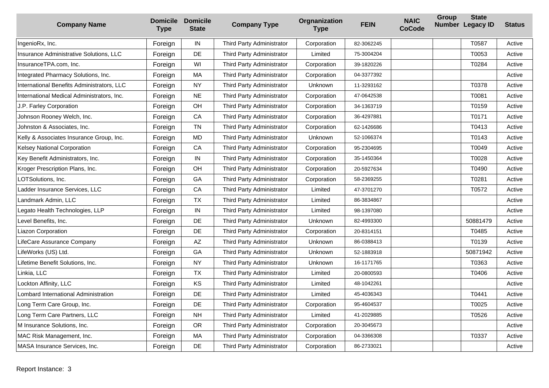| <b>Company Name</b>                            | <b>Type</b> | <b>Domicile Domicile</b><br><b>State</b> | <b>Company Type</b>       | Orgnanization<br><b>Type</b> | <b>FEIN</b> | <b>NAIC</b><br><b>CoCode</b> | <b>Group</b> | <b>State</b><br>Number Legacy ID | <b>Status</b> |
|------------------------------------------------|-------------|------------------------------------------|---------------------------|------------------------------|-------------|------------------------------|--------------|----------------------------------|---------------|
| IngenioRx, Inc.                                | Foreign     | $\sf IN$                                 | Third Party Administrator | Corporation                  | 82-3062245  |                              |              | T0587                            | Active        |
| <b>Insurance Administrative Solutions, LLC</b> | Foreign     | DE                                       | Third Party Administrator | Limited                      | 75-3004204  |                              |              | T0053                            | Active        |
| InsuranceTPA.com, Inc.                         | Foreign     | WI                                       | Third Party Administrator | Corporation                  | 39-1820226  |                              |              | T0284                            | Active        |
| Integrated Pharmacy Solutions, Inc.            | Foreign     | MA                                       | Third Party Administrator | Corporation                  | 04-3377392  |                              |              |                                  | Active        |
| International Benefits Administrators, LLC     | Foreign     | <b>NY</b>                                | Third Party Administrator | Unknown                      | 11-3293162  |                              |              | T0378                            | Active        |
| International Medical Administrators, Inc.     | Foreign     | <b>NE</b>                                | Third Party Administrator | Corporation                  | 47-0642538  |                              |              | T0081                            | Active        |
| J.P. Farley Corporation                        | Foreign     | OH                                       | Third Party Administrator | Corporation                  | 34-1363719  |                              |              | T0159                            | Active        |
| Johnson Rooney Welch, Inc.                     | Foreign     | CA                                       | Third Party Administrator | Corporation                  | 36-4297881  |                              |              | T0171                            | Active        |
| Johnston & Associates, Inc.                    | Foreign     | <b>TN</b>                                | Third Party Administrator | Corporation                  | 62-1426686  |                              |              | T0413                            | Active        |
| Kelly & Associates Insurance Group, Inc.       | Foreign     | MD                                       | Third Party Administrator | Unknown                      | 52-1066374  |                              |              | T0143                            | Active        |
| Kelsey National Corporation                    | Foreign     | CA                                       | Third Party Administrator | Corporation                  | 95-2304695  |                              |              | T0049                            | Active        |
| Key Benefit Administrators, Inc.               | Foreign     | $\sf IN$                                 | Third Party Administrator | Corporation                  | 35-1450364  |                              |              | T0028                            | Active        |
| Kroger Prescription Plans, Inc.                | Foreign     | OH                                       | Third Party Administrator | Corporation                  | 20-5927634  |                              |              | T0490                            | Active        |
| LOTSolutions, Inc.                             | Foreign     | GA                                       | Third Party Administrator | Corporation                  | 58-2369255  |                              |              | T0281                            | Active        |
| Ladder Insurance Services. LLC                 | Foreign     | CA                                       | Third Party Administrator | Limited                      | 47-3701270  |                              |              | T0572                            | Active        |
| Landmark Admin, LLC                            | Foreign     | <b>TX</b>                                | Third Party Administrator | Limited                      | 86-3834867  |                              |              |                                  | Active        |
| Legato Health Technologies, LLP                | Foreign     | $\sf IN$                                 | Third Party Administrator | Limited                      | 98-1397080  |                              |              |                                  | Active        |
| Level Benefits, Inc.                           | Foreign     | DE                                       | Third Party Administrator | Unknown                      | 82-4993300  |                              |              | 50881479                         | Active        |
| Liazon Corporation                             | Foreign     | DE                                       | Third Party Administrator | Corporation                  | 20-8314151  |                              |              | T0485                            | Active        |
| LifeCare Assurance Company                     | Foreign     | AZ                                       | Third Party Administrator | Unknown                      | 86-0388413  |                              |              | T0139                            | Active        |
| LifeWorks (US) Ltd.                            | Foreign     | GA                                       | Third Party Administrator | Unknown                      | 52-1883918  |                              |              | 50871942                         | Active        |
| Lifetime Benefit Solutions, Inc.               | Foreign     | <b>NY</b>                                | Third Party Administrator | <b>Unknown</b>               | 16-1171765  |                              |              | T0363                            | Active        |
| Linkia, LLC                                    | Foreign     | <b>TX</b>                                | Third Party Administrator | Limited                      | 20-0800593  |                              |              | T0406                            | Active        |
| Lockton Affinity, LLC                          | Foreign     | KS                                       | Third Party Administrator | Limited                      | 48-1042261  |                              |              |                                  | Active        |
| Lombard International Administration           | Foreign     | DE                                       | Third Party Administrator | Limited                      | 45-4036343  |                              |              | T0441                            | Active        |
| Long Term Care Group, Inc.                     | Foreign     | DE                                       | Third Party Administrator | Corporation                  | 95-4604537  |                              |              | T0025                            | Active        |
| Long Term Care Partners, LLC                   | Foreign     | <b>NH</b>                                | Third Party Administrator | Limited                      | 41-2029885  |                              |              | T0526                            | Active        |
| M Insurance Solutions, Inc.                    | Foreign     | <b>OR</b>                                | Third Party Administrator | Corporation                  | 20-3045673  |                              |              |                                  | Active        |
| MAC Risk Management, Inc.                      | Foreign     | MA                                       | Third Party Administrator | Corporation                  | 04-3366308  |                              |              | T0337                            | Active        |
| MASA Insurance Services, Inc.                  | Foreign     | DE                                       | Third Party Administrator | Corporation                  | 86-2733021  |                              |              |                                  | Active        |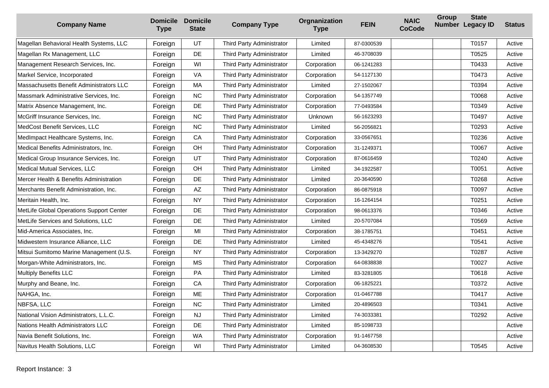| <b>Company Name</b>                      | <b>Domicile</b><br><b>Type</b> | <b>Domicile</b><br><b>State</b> | <b>Company Type</b>       | Orgnanization<br><b>Type</b> | <b>FEIN</b> | <b>NAIC</b><br><b>CoCode</b> | Group | <b>State</b><br>Number Legacy ID | <b>Status</b> |
|------------------------------------------|--------------------------------|---------------------------------|---------------------------|------------------------------|-------------|------------------------------|-------|----------------------------------|---------------|
| Magellan Behavioral Health Systems, LLC  | Foreign                        | UT                              | Third Party Administrator | Limited                      | 87-0300539  |                              |       | T0157                            | Active        |
| Magellan Rx Management, LLC              | Foreign                        | DE                              | Third Party Administrator | Limited                      | 46-3708039  |                              |       | T0525                            | Active        |
| Management Research Services, Inc.       | Foreign                        | WI                              | Third Party Administrator | Corporation                  | 06-1241283  |                              |       | T0433                            | Active        |
| Markel Service, Incorporated             | Foreign                        | VA                              | Third Party Administrator | Corporation                  | 54-1127130  |                              |       | T0473                            | Active        |
| Massachusetts Benefit Administrators LLC | Foreign                        | MA                              | Third Party Administrator | Limited                      | 27-1502067  |                              |       | T0394                            | Active        |
| Massmark Administrative Services, Inc.   | Foreign                        | <b>NC</b>                       | Third Party Administrator | Corporation                  | 54-1357749  |                              |       | T0068                            | Active        |
| Matrix Absence Management, Inc.          | Foreign                        | DE                              | Third Party Administrator | Corporation                  | 77-0493584  |                              |       | T0349                            | Active        |
| McGriff Insurance Services, Inc.         | Foreign                        | <b>NC</b>                       | Third Party Administrator | Unknown                      | 56-1623293  |                              |       | T0497                            | Active        |
| MedCost Benefit Services, LLC            | Foreign                        | <b>NC</b>                       | Third Party Administrator | Limited                      | 56-2056821  |                              |       | T0293                            | Active        |
| MedImpact Healthcare Systems, Inc.       | Foreign                        | CA                              | Third Party Administrator | Corporation                  | 33-0567651  |                              |       | T0236                            | Active        |
| Medical Benefits Administrators, Inc.    | Foreign                        | OH                              | Third Party Administrator | Corporation                  | 31-1249371  |                              |       | T0067                            | Active        |
| Medical Group Insurance Services, Inc.   | Foreign                        | UT                              | Third Party Administrator | Corporation                  | 87-0616459  |                              |       | T0240                            | Active        |
| Medical Mutual Services, LLC             | Foreign                        | OH                              | Third Party Administrator | Limited                      | 34-1922587  |                              |       | T0051                            | Active        |
| Mercer Health & Benefits Administration  | Foreign                        | DE                              | Third Party Administrator | Limited                      | 20-3640590  |                              |       | T0268                            | Active        |
| Merchants Benefit Administration, Inc.   | Foreign                        | AZ                              | Third Party Administrator | Corporation                  | 86-0875918  |                              |       | T0097                            | Active        |
| Meritain Health, Inc.                    | Foreign                        | <b>NY</b>                       | Third Party Administrator | Corporation                  | 16-1264154  |                              |       | T0251                            | Active        |
| MetLife Global Operations Support Center | Foreign                        | DE                              | Third Party Administrator | Corporation                  | 98-0613376  |                              |       | T0346                            | Active        |
| MetLife Services and Solutions, LLC      | Foreign                        | DE                              | Third Party Administrator | Limited                      | 20-5707084  |                              |       | T0569                            | Active        |
| Mid-America Associates, Inc.             | Foreign                        | MI                              | Third Party Administrator | Corporation                  | 38-1785751  |                              |       | T0451                            | Active        |
| Midwestern Insurance Alliance, LLC       | Foreign                        | <b>DE</b>                       | Third Party Administrator | Limited                      | 45-4348276  |                              |       | T0541                            | Active        |
| Mitsui Sumitomo Marine Management (U.S.  | Foreign                        | <b>NY</b>                       | Third Party Administrator | Corporation                  | 13-3429270  |                              |       | T0287                            | Active        |
| Morgan-White Administrators, Inc.        | Foreign                        | <b>MS</b>                       | Third Party Administrator | Corporation                  | 64-0838838  |                              |       | T0027                            | Active        |
| <b>Multiply Benefits LLC</b>             | Foreign                        | PA                              | Third Party Administrator | Limited                      | 83-3281805  |                              |       | T0618                            | Active        |
| Murphy and Beane, Inc.                   | Foreign                        | CA                              | Third Party Administrator | Corporation                  | 06-1825221  |                              |       | T0372                            | Active        |
| NAHGA, Inc.                              | Foreign                        | <b>ME</b>                       | Third Party Administrator | Corporation                  | 01-0467788  |                              |       | T0417                            | Active        |
| NBFSA, LLC                               | Foreign                        | <b>NC</b>                       | Third Party Administrator | Limited                      | 20-4896503  |                              |       | T0341                            | Active        |
| National Vision Administrators, L.L.C.   | Foreign                        | <b>NJ</b>                       | Third Party Administrator | Limited                      | 74-3033381  |                              |       | T0292                            | Active        |
| Nations Health Administrators LLC        | Foreign                        | DE                              | Third Party Administrator | Limited                      | 85-1098733  |                              |       |                                  | Active        |
| Navia Benefit Solutions, Inc.            | Foreign                        | <b>WA</b>                       | Third Party Administrator | Corporation                  | 91-1467758  |                              |       |                                  | Active        |
| Navitus Health Solutions, LLC            | Foreign                        | WI                              | Third Party Administrator | Limited                      | 04-3608530  |                              |       | T0545                            | Active        |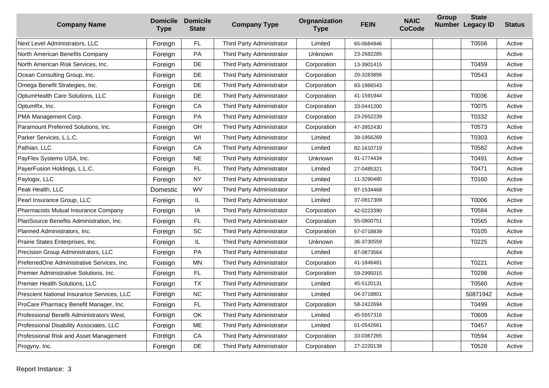| <b>Company Name</b>                        | <b>Domicile</b><br><b>Type</b> | <b>Domicile</b><br><b>State</b> | <b>Company Type</b>       | Orgnanization<br><b>Type</b> | <b>FEIN</b> | <b>NAIC</b><br><b>CoCode</b> | Group | <b>State</b><br>Number Legacy ID | <b>Status</b> |
|--------------------------------------------|--------------------------------|---------------------------------|---------------------------|------------------------------|-------------|------------------------------|-------|----------------------------------|---------------|
| <b>Next Level Administrators, LLC</b>      | Foreign                        | FL                              | Third Party Administrator | Limited                      | 65-0684946  |                              |       | T0556                            | Active        |
| North American Benefits Company            | Foreign                        | PA                              | Third Party Administrator | Unknown                      | 23-2682285  |                              |       |                                  | Active        |
| North American Risk Services, Inc.         | Foreign                        | DE                              | Third Party Administrator | Corporation                  | 13-3901415  |                              |       | T0459                            | Active        |
| Ocean Consulting Group, Inc.               | Foreign                        | DE                              | Third Party Administrator | Corporation                  | 20-3283856  |                              |       | T0543                            | Active        |
| Omega Benefit Strategies, Inc.             | Foreign                        | DE                              | Third Party Administrator | Corporation                  | 83-1866543  |                              |       |                                  | Active        |
| OptumHealth Care Solutions, LLC            | Foreign                        | DE                              | Third Party Administrator | Corporation                  | 41-1591944  |                              |       | T0036                            | Active        |
| OptumRx, Inc.                              | Foreign                        | CA                              | Third Party Administrator | Corporation                  | 33-0441200  |                              |       | T0075                            | Active        |
| PMA Management Corp.                       | Foreign                        | PA                              | Third Party Administrator | Corporation                  | 23-2652239  |                              |       | T0332                            | Active        |
| Paramount Preferred Solutions, Inc.        | Foreign                        | OH                              | Third Party Administrator | Corporation                  | 47-3952430  |                              |       | T0573                            | Active        |
| Parker Services, L.L.C.                    | Foreign                        | WI                              | Third Party Administrator | Limited                      | 39-1956269  |                              |       | T0303                            | Active        |
| Pathian, LLC                               | Foreign                        | CA                              | Third Party Administrator | Limited                      | 82-1610719  |                              |       | T0582                            | Active        |
| PayFlex Systems USA, Inc.                  | Foreign                        | <b>NE</b>                       | Third Party Administrator | Unknown                      | 91-1774434  |                              |       | T0491                            | Active        |
| PayerFusion Holdings, L.L.C.               | Foreign                        | FL                              | Third Party Administrator | Limited                      | 27-0485321  |                              |       | T0471                            | Active        |
| Paylogix, LLC                              | Foreign                        | <b>NY</b>                       | Third Party Administrator | Limited                      | 11-3290480  |                              |       | T0160                            | Active        |
| Peak Health, LLC                           | Domestic                       | WV                              | Third Party Administrator | Limited                      | 87-1534468  |                              |       |                                  | Active        |
| Pearl Insurance Group, LLC                 | Foreign                        | IL                              | Third Party Administrator | Limited                      | 37-0817309  |                              |       | T0006                            | Active        |
| Pharmacists Mutual Insurance Company       | Foreign                        | IA                              | Third Party Administrator | Corporation                  | 42-0223390  |                              |       | T0584                            | Active        |
| PlanSource Benefits Administration, Inc.   | Foreign                        | FL                              | Third Party Administrator | Corporation                  | 55-0800751  |                              |       | T0565                            | Active        |
| Planned Administrators, Inc.               | Foreign                        | SC                              | Third Party Administrator | Corporation                  | 57-0718839  |                              |       | T0105                            | Active        |
| Prairie States Enterprises, Inc.           | Foreign                        | IL                              | Third Party Administrator | Unknown                      | 36-3730559  |                              |       | T0225                            | Active        |
| Precision Group Administrators, LLC        | Foreign                        | PA                              | Third Party Administrator | Limited                      | 87-0873564  |                              |       |                                  | Active        |
| PreferredOne Administrative Services, Inc. | Foreign                        | <b>MN</b>                       | Third Party Administrator | Corporation                  | 41-1846481  |                              |       | T0221                            | Active        |
| Premier Administrative Solutions, Inc.     | Foreign                        | FL                              | Third Party Administrator | Corporation                  | 59-2995015  |                              |       | T0298                            | Active        |
| Premier Health Solutions, LLC              | Foreign                        | <b>TX</b>                       | Third Party Administrator | Limited                      | 45-5120131  |                              |       | T0560                            | Active        |
| Prescient National Insurance Services, LLC | Foreign                        | <b>NC</b>                       | Third Party Administrator | Limited                      | 04-3718801  |                              |       | 50871942                         | Active        |
| ProCare Pharmacy Benefit Manager, Inc.     | Foreign                        | FL                              | Third Party Administrator | Corporation                  | 58-2422694  |                              |       | T0499                            | Active        |
| Professional Benefit Administrators West,  | Foreign                        | OK                              | Third Party Administrator | Limited                      | 45-5557316  |                              |       | T0609                            | Active        |
| Professional Disability Associates, LLC    | Foreign                        | ME                              | Third Party Administrator | Limited                      | 01-0542661  |                              |       | T0457                            | Active        |
| Professional Risk and Asset Management     | Foreign                        | CA                              | Third Party Administrator | Corporation                  | 33-0367265  |                              |       | T0594                            | Active        |
| Progyny, Inc.                              | Foreign                        | DE                              | Third Party Administrator | Corporation                  | 27-2220139  |                              |       | T0528                            | Active        |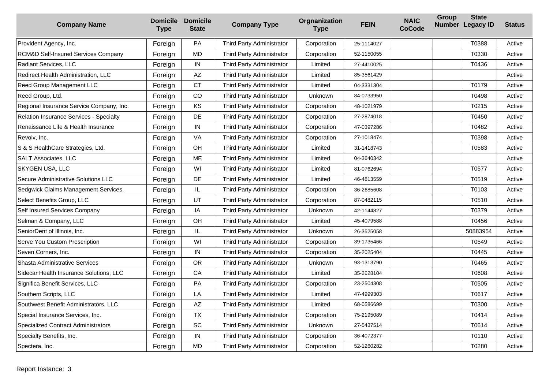| <b>Company Name</b>                            | <b>Domicile</b><br><b>Type</b> | <b>Domicile</b><br><b>State</b> | <b>Company Type</b>       | Orgnanization<br><b>Type</b> | <b>FEIN</b> | <b>NAIC</b><br><b>CoCode</b> | Group | <b>State</b><br>Number Legacy ID | <b>Status</b> |
|------------------------------------------------|--------------------------------|---------------------------------|---------------------------|------------------------------|-------------|------------------------------|-------|----------------------------------|---------------|
| Provident Agency, Inc.                         | Foreign                        | PA                              | Third Party Administrator | Corporation                  | 25-1114027  |                              |       | T0388                            | Active        |
| <b>RCM&amp;D Self-Insured Services Company</b> | Foreign                        | <b>MD</b>                       | Third Party Administrator | Corporation                  | 52-1150055  |                              |       | T0330                            | Active        |
| Radiant Services, LLC                          | Foreign                        | $\sf IN$                        | Third Party Administrator | Limited                      | 27-4410025  |                              |       | T0436                            | Active        |
| Redirect Health Administration, LLC            | Foreign                        | AZ                              | Third Party Administrator | Limited                      | 85-3561429  |                              |       |                                  | Active        |
| Reed Group Management LLC                      | Foreign                        | <b>CT</b>                       | Third Party Administrator | Limited                      | 04-3331304  |                              |       | T0179                            | Active        |
| Reed Group, Ltd.                               | Foreign                        | CO                              | Third Party Administrator | <b>Unknown</b>               | 84-0733950  |                              |       | T0498                            | Active        |
| Regional Insurance Service Company, Inc.       | Foreign                        | KS                              | Third Party Administrator | Corporation                  | 48-1021979  |                              |       | T0215                            | Active        |
| <b>Relation Insurance Services - Specialty</b> | Foreign                        | DE                              | Third Party Administrator | Corporation                  | 27-2874018  |                              |       | T0450                            | Active        |
| Renaissance Life & Health Insurance            | Foreign                        | IN                              | Third Party Administrator | Corporation                  | 47-0397286  |                              |       | T0482                            | Active        |
| Revolv, Inc.                                   | Foreign                        | VA                              | Third Party Administrator | Corporation                  | 27-1018474  |                              |       | T0398                            | Active        |
| S & S HealthCare Strategies, Ltd.              | Foreign                        | OH                              | Third Party Administrator | Limited                      | 31-1418743  |                              |       | T0583                            | Active        |
| <b>SALT Associates, LLC</b>                    | Foreign                        | ME                              | Third Party Administrator | Limited                      | 04-3640342  |                              |       |                                  | Active        |
| SKYGEN USA, LLC                                | Foreign                        | WI                              | Third Party Administrator | Limited                      | 81-0762694  |                              |       | T0577                            | Active        |
| Secure Administrative Solutions LLC            | Foreign                        | DE                              | Third Party Administrator | Limited                      | 46-4813559  |                              |       | T0519                            | Active        |
| Sedgwick Claims Management Services,           | Foreign                        | IL                              | Third Party Administrator | Corporation                  | 36-2685608  |                              |       | T0103                            | Active        |
| Select Benefits Group, LLC                     | Foreign                        | UT                              | Third Party Administrator | Corporation                  | 87-0482115  |                              |       | T0510                            | Active        |
| Self Insured Services Company                  | Foreign                        | IA                              | Third Party Administrator | Unknown                      | 42-1144827  |                              |       | T0379                            | Active        |
| Selman & Company, LLC                          | Foreign                        | OH                              | Third Party Administrator | Limited                      | 45-4079588  |                              |       | T0456                            | Active        |
| SeniorDent of Illinois, Inc.                   | Foreign                        | IL.                             | Third Party Administrator | Unknown                      | 26-3525058  |                              |       | 50883954                         | Active        |
| Serve You Custom Prescription                  | Foreign                        | WI                              | Third Party Administrator | Corporation                  | 39-1735466  |                              |       | T0549                            | Active        |
| Seven Corners, Inc.                            | Foreign                        | $\sf IN$                        | Third Party Administrator | Corporation                  | 35-2025404  |                              |       | T0445                            | Active        |
| Shasta Administrative Services                 | Foreign                        | <b>OR</b>                       | Third Party Administrator | Unknown                      | 93-1313790  |                              |       | T0465                            | Active        |
| Sidecar Health Insurance Solutions, LLC        | Foreign                        | CA                              | Third Party Administrator | Limited                      | 35-2628104  |                              |       | T0608                            | Active        |
| Significa Benefit Services, LLC                | Foreign                        | PA                              | Third Party Administrator | Corporation                  | 23-2504308  |                              |       | T0505                            | Active        |
| Southern Scripts, LLC                          | Foreign                        | LA                              | Third Party Administrator | Limited                      | 47-4999303  |                              |       | T0617                            | Active        |
| Southwest Benefit Administrators, LLC          | Foreign                        | AZ                              | Third Party Administrator | Limited                      | 68-0586699  |                              |       | T0300                            | Active        |
| Special Insurance Services, Inc.               | Foreign                        | <b>TX</b>                       | Third Party Administrator | Corporation                  | 75-2195089  |                              |       | T0414                            | Active        |
| <b>Specialized Contract Administrators</b>     | Foreign                        | SC                              | Third Party Administrator | Unknown                      | 27-5437514  |                              |       | T0614                            | Active        |
| Specialty Benefits, Inc.                       | Foreign                        | ${\sf IN}$                      | Third Party Administrator | Corporation                  | 36-4072377  |                              |       | T0110                            | Active        |
| Spectera, Inc.                                 | Foreign                        | <b>MD</b>                       | Third Party Administrator | Corporation                  | 52-1260282  |                              |       | T0280                            | Active        |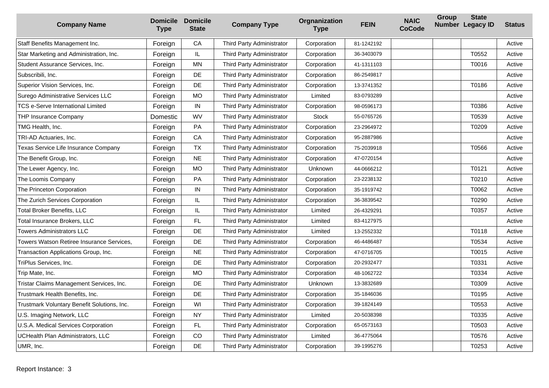| <b>Company Name</b>                         | <b>Domicile</b><br><b>Type</b> | <b>Domicile</b><br><b>State</b> | <b>Company Type</b>       | Orgnanization<br><b>Type</b> | <b>FEIN</b> | <b>NAIC</b><br><b>CoCode</b> | Group | <b>State</b><br>Number Legacy ID | <b>Status</b> |
|---------------------------------------------|--------------------------------|---------------------------------|---------------------------|------------------------------|-------------|------------------------------|-------|----------------------------------|---------------|
| Staff Benefits Management Inc.              | Foreign                        | CA                              | Third Party Administrator | Corporation                  | 81-1242192  |                              |       |                                  | Active        |
| Star Marketing and Administration, Inc.     | Foreign                        | IL.                             | Third Party Administrator | Corporation                  | 36-3403079  |                              |       | T0552                            | Active        |
| Student Assurance Services, Inc.            | Foreign                        | <b>MN</b>                       | Third Party Administrator | Corporation                  | 41-1311103  |                              |       | T0016                            | Active        |
| Subscribili, Inc.                           | Foreign                        | DE                              | Third Party Administrator | Corporation                  | 86-2549817  |                              |       |                                  | Active        |
| Superior Vision Services, Inc.              | Foreign                        | DE                              | Third Party Administrator | Corporation                  | 13-3741352  |                              |       | T0186                            | Active        |
| Surego Administrative Services LLC          | Foreign                        | <b>MO</b>                       | Third Party Administrator | Limited                      | 83-0793289  |                              |       |                                  | Active        |
| <b>TCS e-Serve International Limited</b>    | Foreign                        | ${\sf IN}$                      | Third Party Administrator | Corporation                  | 98-0596173  |                              |       | T0386                            | Active        |
| <b>THP Insurance Company</b>                | Domestic                       | <b>WV</b>                       | Third Party Administrator | <b>Stock</b>                 | 55-0765726  |                              |       | T0539                            | Active        |
| TMG Health, Inc.                            | Foreign                        | PA                              | Third Party Administrator | Corporation                  | 23-2964972  |                              |       | T0209                            | Active        |
| TRI-AD Actuaries, Inc.                      | Foreign                        | CA                              | Third Party Administrator | Corporation                  | 95-2887986  |                              |       |                                  | Active        |
| Texas Service Life Insurance Company        | Foreign                        | <b>TX</b>                       | Third Party Administrator | Corporation                  | 75-2039918  |                              |       | T0566                            | Active        |
| The Benefit Group, Inc.                     | Foreign                        | <b>NE</b>                       | Third Party Administrator | Corporation                  | 47-0720154  |                              |       |                                  | Active        |
| The Lewer Agency, Inc.                      | Foreign                        | <b>MO</b>                       | Third Party Administrator | Unknown                      | 44-0666212  |                              |       | T0121                            | Active        |
| The Loomis Company                          | Foreign                        | PA                              | Third Party Administrator | Corporation                  | 23-2238132  |                              |       | T0210                            | Active        |
| The Princeton Corporation                   | Foreign                        | IN                              | Third Party Administrator | Corporation                  | 35-1919742  |                              |       | T0062                            | Active        |
| The Zurich Services Corporation             | Foreign                        | IL.                             | Third Party Administrator | Corporation                  | 36-3839542  |                              |       | T0290                            | Active        |
| Total Broker Benefits, LLC                  | Foreign                        | IL.                             | Third Party Administrator | Limited                      | 26-4329291  |                              |       | T0357                            | Active        |
| Total Insurance Brokers, LLC                | Foreign                        | FL                              | Third Party Administrator | Limited                      | 83-4127975  |                              |       |                                  | Active        |
| Towers Administrators LLC                   | Foreign                        | DE                              | Third Party Administrator | Limited                      | 13-2552332  |                              |       | T0118                            | Active        |
| Towers Watson Retiree Insurance Services,   | Foreign                        | <b>DE</b>                       | Third Party Administrator | Corporation                  | 46-4486487  |                              |       | T0534                            | Active        |
| Transaction Applications Group, Inc.        | Foreign                        | <b>NE</b>                       | Third Party Administrator | Corporation                  | 47-0716705  |                              |       | T0015                            | Active        |
| TriPlus Services, Inc.                      | Foreign                        | DE                              | Third Party Administrator | Corporation                  | 20-2932477  |                              |       | T0331                            | Active        |
| Trip Mate, Inc.                             | Foreign                        | MO                              | Third Party Administrator | Corporation                  | 48-1062722  |                              |       | T0334                            | Active        |
| Tristar Claims Management Services, Inc.    | Foreign                        | DE                              | Third Party Administrator | Unknown                      | 13-3832689  |                              |       | T0309                            | Active        |
| Trustmark Health Benefits, Inc.             | Foreign                        | DE                              | Third Party Administrator | Corporation                  | 35-1846036  |                              |       | T0195                            | Active        |
| Trustmark Voluntary Benefit Solutions, Inc. | Foreign                        | WI                              | Third Party Administrator | Corporation                  | 39-1824149  |                              |       | T0553                            | Active        |
| U.S. Imaging Network, LLC                   | Foreign                        | <b>NY</b>                       | Third Party Administrator | Limited                      | 20-5038398  |                              |       | T0335                            | Active        |
| U.S.A. Medical Services Corporation         | Foreign                        | FL                              | Third Party Administrator | Corporation                  | 65-0573163  |                              |       | T0503                            | Active        |
| <b>UCHealth Plan Administrators, LLC</b>    | Foreign                        | CO                              | Third Party Administrator | Limited                      | 36-4775064  |                              |       | T0576                            | Active        |
| UMR, Inc.                                   | Foreign                        | DE                              | Third Party Administrator | Corporation                  | 39-1995276  |                              |       | T0253                            | Active        |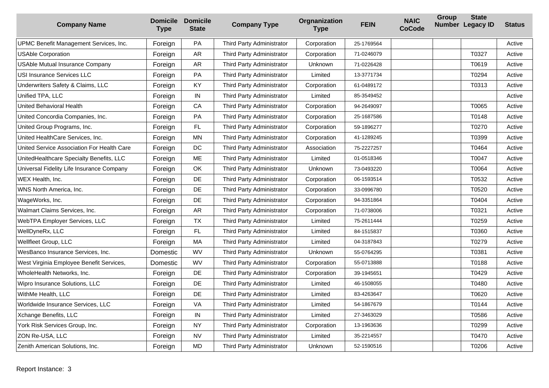| <b>Company Name</b>                        | <b>Domicile</b><br><b>Type</b> | <b>Domicile</b><br><b>State</b> | <b>Company Type</b>       | Orgnanization<br><b>Type</b> | <b>FEIN</b> | <b>NAIC</b><br><b>CoCode</b> | Group | <b>State</b><br><b>Number Legacy ID</b> | <b>Status</b> |
|--------------------------------------------|--------------------------------|---------------------------------|---------------------------|------------------------------|-------------|------------------------------|-------|-----------------------------------------|---------------|
| UPMC Benefit Management Services, Inc.     | Foreign                        | PA                              | Third Party Administrator | Corporation                  | 25-1769564  |                              |       |                                         | Active        |
| <b>USAble Corporation</b>                  | Foreign                        | <b>AR</b>                       | Third Party Administrator | Corporation                  | 71-0246079  |                              |       | T0327                                   | Active        |
| USAble Mutual Insurance Company            | Foreign                        | <b>AR</b>                       | Third Party Administrator | Unknown                      | 71-0226428  |                              |       | T0619                                   | Active        |
| USI Insurance Services LLC                 | Foreign                        | PA                              | Third Party Administrator | Limited                      | 13-3771734  |                              |       | T0294                                   | Active        |
| Underwriters Safety & Claims, LLC          | Foreign                        | KY                              | Third Party Administrator | Corporation                  | 61-0489172  |                              |       | T0313                                   | Active        |
| Unified TPA, LLC                           | Foreign                        | IN                              | Third Party Administrator | Limited                      | 85-3549452  |                              |       |                                         | Active        |
| United Behavioral Health                   | Foreign                        | CA                              | Third Party Administrator | Corporation                  | 94-2649097  |                              |       | T0065                                   | Active        |
| United Concordia Companies, Inc.           | Foreign                        | <b>PA</b>                       | Third Party Administrator | Corporation                  | 25-1687586  |                              |       | T0148                                   | Active        |
| United Group Programs, Inc.                | Foreign                        | FL                              | Third Party Administrator | Corporation                  | 59-1896277  |                              |       | T0270                                   | Active        |
| United HealthCare Services, Inc.           | Foreign                        | <b>MN</b>                       | Third Party Administrator | Corporation                  | 41-1289245  |                              |       | T0399                                   | Active        |
| United Service Association For Health Care | Foreign                        | DC                              | Third Party Administrator | Association                  | 75-2227257  |                              |       | T0464                                   | Active        |
| UnitedHealthcare Specialty Benefits, LLC   | Foreign                        | ME                              | Third Party Administrator | Limited                      | 01-0518346  |                              |       | T0047                                   | Active        |
| Universal Fidelity Life Insurance Company  | Foreign                        | <b>OK</b>                       | Third Party Administrator | Unknown                      | 73-0493220  |                              |       | T0064                                   | Active        |
| WEX Health. Inc.                           | Foreign                        | <b>DE</b>                       | Third Party Administrator | Corporation                  | 06-1593514  |                              |       | T0532                                   | Active        |
| WNS North America, Inc.                    | Foreign                        | DE                              | Third Party Administrator | Corporation                  | 33-0996780  |                              |       | T0520                                   | Active        |
| WageWorks, Inc.                            | Foreign                        | DE                              | Third Party Administrator | Corporation                  | 94-3351864  |                              |       | T0404                                   | Active        |
| Walmart Claims Services, Inc.              | Foreign                        | AR                              | Third Party Administrator | Corporation                  | 71-0738006  |                              |       | T0321                                   | Active        |
| WebTPA Employer Services, LLC              | Foreign                        | <b>TX</b>                       | Third Party Administrator | Limited                      | 75-2611444  |                              |       | T0259                                   | Active        |
| WellDyneRx, LLC                            | Foreign                        | FL                              | Third Party Administrator | Limited                      | 84-1515837  |                              |       | T0360                                   | Active        |
| Wellfleet Group, LLC                       | Foreign                        | MA                              | Third Party Administrator | Limited                      | 04-3187843  |                              |       | T0279                                   | Active        |
| WesBanco Insurance Services, Inc.          | Domestic                       | <b>WV</b>                       | Third Party Administrator | Unknown                      | 55-0764295  |                              |       | T0381                                   | Active        |
| West Virginia Employee Benefit Services,   | Domestic                       | WV                              | Third Party Administrator | Corporation                  | 55-0713888  |                              |       | T0188                                   | Active        |
| WholeHealth Networks, Inc.                 | Foreign                        | DE                              | Third Party Administrator | Corporation                  | 39-1945651  |                              |       | T0429                                   | Active        |
| Wipro Insurance Solutions, LLC             | Foreign                        | DE                              | Third Party Administrator | Limited                      | 46-1508055  |                              |       | T0480                                   | Active        |
| WithMe Health, LLC                         | Foreign                        | DE                              | Third Party Administrator | Limited                      | 83-4263647  |                              |       | T0620                                   | Active        |
| Worldwide Insurance Services, LLC          | Foreign                        | VA                              | Third Party Administrator | Limited                      | 54-1867679  |                              |       | T0144                                   | Active        |
| Xchange Benefits, LLC                      | Foreign                        | $\sf IN$                        | Third Party Administrator | Limited                      | 27-3463029  |                              |       | T0586                                   | Active        |
| York Risk Services Group, Inc.             | Foreign                        | <b>NY</b>                       | Third Party Administrator | Corporation                  | 13-1963636  |                              |       | T0299                                   | Active        |
| ZON Re-USA, LLC                            | Foreign                        | <b>NV</b>                       | Third Party Administrator | Limited                      | 35-2214557  |                              |       | T0470                                   | Active        |
| Zenith American Solutions, Inc.            | Foreign                        | <b>MD</b>                       | Third Party Administrator | Unknown                      | 52-1590516  |                              |       | T0206                                   | Active        |